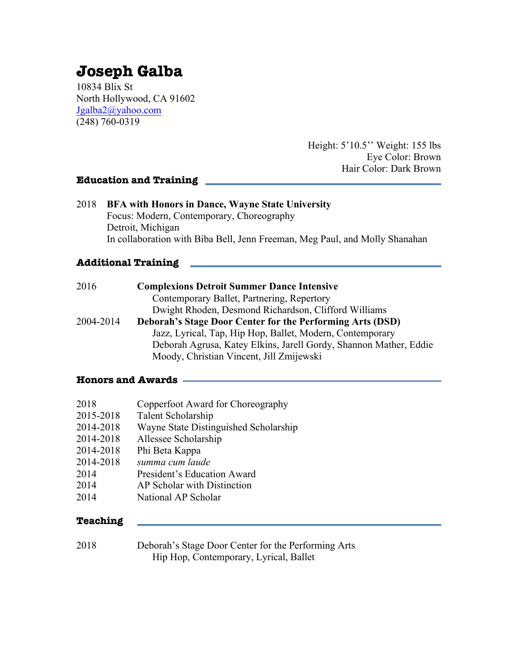# **Joseph Galba**

10834 Blix St North Hollywood, CA 91602 Jgalba2@yahoo.com (248) 760-0319

> Height: 5'10.5'' Weight: 155 lbs Eye Color: Brown Hair Color: Dark Brown

#### **Education and Training**

| 2018      | <b>BFA with Honors in Dance, Wayne State University</b><br>Focus: Modern, Contemporary, Choreography<br>Detroit, Michigan<br>In collaboration with Biba Bell, Jenn Freeman, Meg Paul, and Molly Shanahan |  |
|-----------|----------------------------------------------------------------------------------------------------------------------------------------------------------------------------------------------------------|--|
|           | <b>Additional Training</b>                                                                                                                                                                               |  |
| 2016      | <b>Complexions Detroit Summer Dance Intensive</b><br>Contemporary Ballet, Partnering, Repertory<br>Dwight Rhoden, Desmond Richardson, Clifford Williams                                                  |  |
| 2004-2014 | Deborah's Stage Door Center for the Performing Arts (DSD)                                                                                                                                                |  |

 Jazz, Lyrical, Tap, Hip Hop, Ballet, Modern, Contemporary Deborah Agrusa, Katey Elkins, Jarell Gordy, Shannon Mather, Eddie Moody, Christian Vincent, Jill Zmijewski

#### **Honors and Awards**

| 2018      | Copperfoot Award for Choreography     |
|-----------|---------------------------------------|
| 2015-2018 | Talent Scholarship                    |
| 2014-2018 | Wayne State Distinguished Scholarship |
| 2014-2018 | Allessee Scholarship                  |
| 2014-2018 | Phi Beta Kappa                        |
| 2014-2018 | summa cum laude                       |
| 2014      | President's Education Award           |
| 2014      | AP Scholar with Distinction           |
| 2014      | National AP Scholar                   |
|           |                                       |

#### **Teaching**

2018 Deborah's Stage Door Center for the Performing Arts Hip Hop, Contemporary, Lyrical, Ballet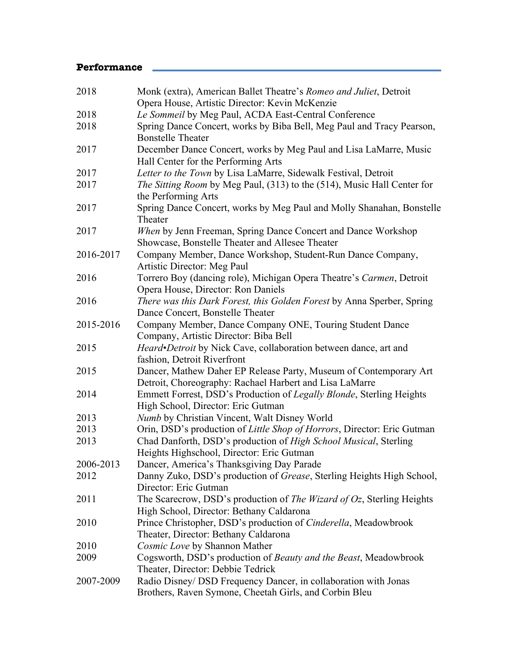## **Performance**

| 2018      | Monk (extra), American Ballet Theatre's Romeo and Juliet, Detroit<br>Opera House, Artistic Director: Kevin McKenzie          |
|-----------|------------------------------------------------------------------------------------------------------------------------------|
| 2018      | Le Sommeil by Meg Paul, ACDA East-Central Conference                                                                         |
| 2018      | Spring Dance Concert, works by Biba Bell, Meg Paul and Tracy Pearson,<br><b>Bonstelle Theater</b>                            |
| 2017      | December Dance Concert, works by Meg Paul and Lisa LaMarre, Music<br>Hall Center for the Performing Arts                     |
| 2017      | Letter to the Town by Lisa LaMarre, Sidewalk Festival, Detroit                                                               |
| 2017      | The Sitting Room by Meg Paul, (313) to the (514), Music Hall Center for<br>the Performing Arts                               |
| 2017      | Spring Dance Concert, works by Meg Paul and Molly Shanahan, Bonstelle<br>Theater                                             |
| 2017      | When by Jenn Freeman, Spring Dance Concert and Dance Workshop<br>Showcase, Bonstelle Theater and Allesee Theater             |
| 2016-2017 | Company Member, Dance Workshop, Student-Run Dance Company,<br>Artistic Director: Meg Paul                                    |
| 2016      | Torrero Boy (dancing role), Michigan Opera Theatre's Carmen, Detroit<br>Opera House, Director: Ron Daniels                   |
| 2016      | There was this Dark Forest, this Golden Forest by Anna Sperber, Spring<br>Dance Concert, Bonstelle Theater                   |
| 2015-2016 | Company Member, Dance Company ONE, Touring Student Dance<br>Company, Artistic Director: Biba Bell                            |
| 2015      | Heard•Detroit by Nick Cave, collaboration between dance, art and<br>fashion, Detroit Riverfront                              |
| 2015      | Dancer, Mathew Daher EP Release Party, Museum of Contemporary Art<br>Detroit, Choreography: Rachael Harbert and Lisa LaMarre |
| 2014      | Emmett Forrest, DSD's Production of Legally Blonde, Sterling Heights<br>High School, Director: Eric Gutman                   |
| 2013      | Numb by Christian Vincent, Walt Disney World                                                                                 |
| 2013      | Orin, DSD's production of Little Shop of Horrors, Director: Eric Gutman                                                      |
| 2013      | Chad Danforth, DSD's production of High School Musical, Sterling<br>Heights Highschool, Director: Eric Gutman                |
| 2006-2013 | Dancer, America's Thanksgiving Day Parade                                                                                    |
| 2012      | Danny Zuko, DSD's production of Grease, Sterling Heights High School,<br>Director: Eric Gutman                               |
| 2011      | The Scarecrow, DSD's production of The Wizard of Oz, Sterling Heights<br>High School, Director: Bethany Caldarona            |
| 2010      | Prince Christopher, DSD's production of Cinderella, Meadowbrook<br>Theater, Director: Bethany Caldarona                      |
| 2010      | Cosmic Love by Shannon Mather                                                                                                |
| 2009      | Cogsworth, DSD's production of Beauty and the Beast, Meadowbrook                                                             |
|           | Theater, Director: Debbie Tedrick                                                                                            |
| 2007-2009 | Radio Disney/ DSD Frequency Dancer, in collaboration with Jonas<br>Brothers, Raven Symone, Cheetah Girls, and Corbin Bleu    |